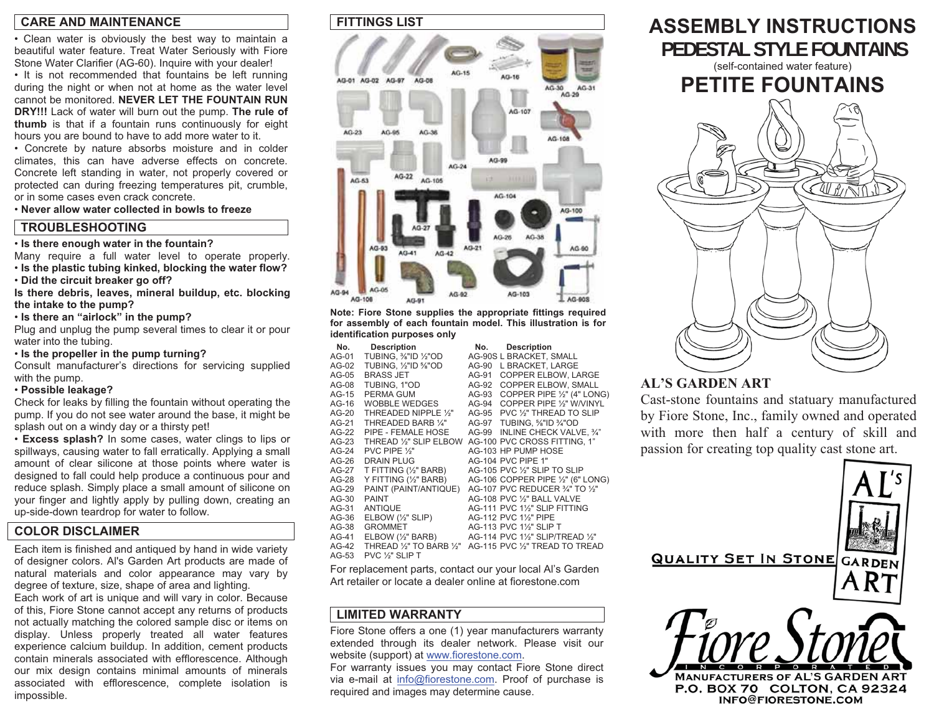### **CARE AND MAINTENANCE**

• Clean water is obviously the best way to maintain a beautiful water feature. Treat Water Seriously with Fiore Stone Water Clarifier (AG-60). Inquire with your dealer!

• It is not recommended that fountains be left running during the night or when not at home as the water level cannot be monitored. **NEVER LET THE FOUNTAIN RUN DRY!!!** Lack of water will burn out the pump. **The rule of thumb** is that if a fountain runs continuously for eight hours you are bound to have to add more water to it.

• Concrete by nature absorbs moisture and in colder climates, this can have adverse effects on concrete. Concrete left standing in water, not properly covered or protected can during freezing temperatures pit, crumble, or in some cases even crack concrete.

• **Never allow water collected in bowls to freeze**

### **TROUBLESHOOTING**

#### • **Is there enough water in the fountain?**

Many require a full water level to operate properly. • **Is the plastic tubing kinked, blocking the water flow?** 

• **Did the circuit breaker go off?** 

**Is there debris, leaves, mineral buildup, etc. blocking the intake to the pump?** 

• **Is there an "airlock" in the pump?** 

Plug and unplug the pump several times to clear it or pour water into the tubing.

• **Is the propeller in the pump turning?** 

Consult manufacturer's directions for servicing supplied with the pump.

### • **Possible leakage?**

Check for leaks by filling the fountain without operating the pump. If you do not see water around the base, it might be splash out on a windy day or a thirsty pet!

• **Excess splash?** In some cases, water clings to lips or spillways, causing water to fall erratically. Applying a small amount of clear silicone at those points where water is designed to fall could help produce a continuous pour and reduce splash. Simply place a small amount of silicone on your finger and lightly apply by pulling down, creating an up-side-down teardrop for water to follow.

### **COLOR DISCLAIMER**

Each item is finished and antiqued by hand in wide variety of designer colors. Al's Garden Art products are made of natural materials and color appearance may vary by degree of texture, size, shape of area and lighting.

Each work of art is unique and will vary in color. Because of this, Fiore Stone cannot accept any returns of products not actually matching the colored sample disc or items on display. Unless properly treated all water features experience calcium buildup. In addition, cement products contain minerals associated with efflorescence. Although our mix design contains minimal amounts of minerals associated with efflorescence, complete isolation is impossible.

### **FITTINGS LIST**



**Note: Fiore Stone supplies the appropriate fittings required for assembly of each fountain model. This illustration is for identification purposes only** 

| No.     | <b>Description</b>               | No.   | <b>Description</b>                |
|---------|----------------------------------|-------|-----------------------------------|
| AG-01   | TUBING, 1/8"ID 1/2"OD            |       | AG-90S L BRACKET, SMALL           |
| AG-02   | TUBING, 1/2"ID 5/8"OD            | AG-90 | L BRACKET. LARGE                  |
| AG-05   | <b>BRASS JET</b>                 | AG-91 | <b>COPPER ELBOW. LARGE</b>        |
| AG-08   | TUBING, 1"OD                     | AG-92 | COPPER ELBOW, SMALL               |
| $AG-15$ | PERMA GUM                        | AG-93 | COPPER PIPE 1/2" (4" LONG)        |
| AG-16   | WOBBLE WEDGES                    | AG-94 | COPPER PIPE 1/2" W/VINYL          |
| AG-20   | THREADED NIPPLE 1/2"             | AG-95 | PVC 1/2" THREAD TO SLIP           |
| AG-21   | THREADED BARB 1/4"               | AG-97 | TUBING, %"ID %"OD                 |
| AG-22   | PIPE - FEMALE HOSE               | AG-99 | INLINE CHECK VALVE, 3/4"          |
| AG-23   | THREAD 1/2" SLIP ELBOW           |       | AG-100 PVC CROSS FITTING, 1"      |
| $AG-24$ | PVC PIPE 1/3"                    |       | AG-103 HP PUMP HOSE               |
| AG-26   | <b>DRAIN PLUG</b>                |       | <b>AG-104 PVC PIPE 1"</b>         |
| AG-27   | T FITTING (1/2" BARB)            |       | AG-105 PVC 1/2" SLIP TO SLIP      |
| AG-28   | Y FITTING (1/2" BARB)            |       | AG-106 COPPER PIPE 1/2" (6" LONG) |
| AG-29   | PAINT (PAINT/ANTIQUE)            |       | AG-107 PVC REDUCER 3/4" TO 1/2"   |
| AG-30   | <b>PAINT</b>                     |       | AG-108 PVC 1/2" BALL VALVE        |
| AG-31   | <b>ANTIQUE</b>                   |       | AG-111 PVC 1½" SLIP FITTING       |
| AG-36   | ELBOW $(\frac{1}{2}$ " SLIP)     |       | AG-112 PVC 11/2" PIPE             |
| AG-38   | <b>GROMMET</b>                   |       | AG-113 PVC 11/2" SLIP T           |
| AG-41   | $E$ LBOW $(\frac{1}{2})^n$ BARB) |       | AG-114 PVC 11/2" SLIP/TREAD 1/2"  |
| $AG-42$ | THREAD 1/2" TO BARB 1/2"         |       | AG-115 PVC 1/2" TREAD TO TREAD    |
| AG-53   | PVC 1/ <sub>3</sub> " SLIP T     |       |                                   |

For replacement parts, contact our your local Al's Garden Art retailer or locate a dealer online at fiorestone.com

## **LIMITED WARRANTY**

Fiore Stone offers a one (1) year manufacturers warranty extended through its dealer network. Please visit our website (support) at www.fiorestone.com.

For warranty issues you may contact Fiore Stone direct via e-mail at info@fiorestone.com. Proof of purchase is required and images may determine cause.

# **ASSEMBLY INSTRUCTIONS PEDESTAL STYLE FOUNTAINS**(self-contained water feature) **PETITE FOUNTAINS**

# **AL'S GARDEN ART**

Cast-stone fountains and statuary manufacture dby Fiore Stone, Inc., family owned and operate d with more then half a century of skill an dpassion for creating top quality cast stone art.